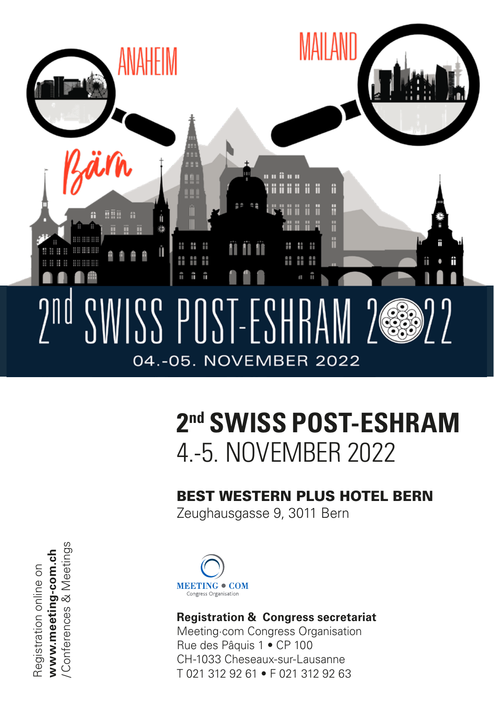

## **2nd SWISS POST-ESHRAM** 4.-5. NOVEMBER 2022

### BEST WESTERN PLUS HOTEL BERN

Zeughausgasse 9, 3011 Bern

www.meeting-com.ch<br>/Conferences & Meetings /Conferences & Meetings **www.meeting-com.ch** Registration online on Registration online on



#### **Registration & Congress secretariat**

Meeting·com Congress Organisation Rue des Pâquis 1 • CP 100 CH-1033 Cheseaux-sur-Lausanne T 021 312 92 61 • F 021 312 92 63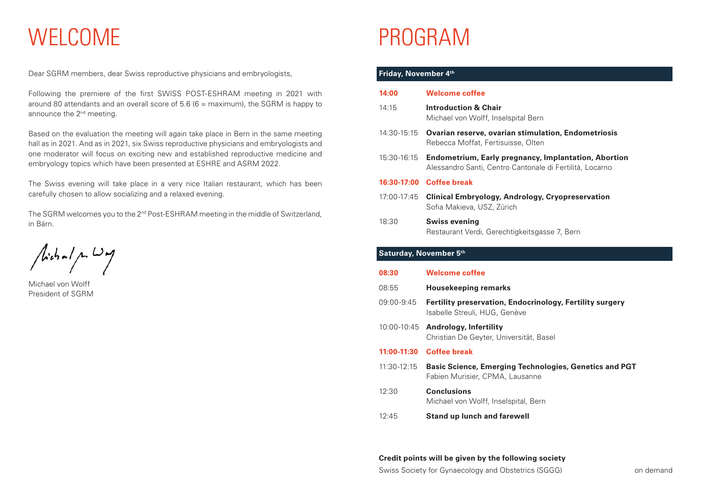# WELCOME

Dear SGRM members, dear Swiss reproductive physicians and embryologists,

Following the premiere of the first SWISS POST-ESHRAM meeting in 2021 with around 80 attendants and an overall score of 5.6 ( $6 =$  maximum), the SGRM is happy to announce the 2<sup>nd</sup> meeting.

Based on the evaluation the meeting will again take place in Bern in the same meeting hall as in 2021. And as in 2021, six Swiss reproductive physicians and embryologists and one moderator will focus on exciting new and established reproductive medicine and embryology topics which have been presented at ESHRE and ASRM 2022.

The Swiss evening will take place in a very nice Italian restaurant, which has been carefully chosen to allow socializing and a relaxed evening.

The SGRM welcomes you to the 2<sup>nd</sup> Post-ESHRAM meeting in the middle of Switzerland, in Bärn.

 $/$ ichal p.  $\omega$ 

Michael von Wolff President of SGRM

# PROGRAM

#### **Friday, November 4th**

| 14:00                  | <b>Welcome coffee</b>                                                                                            |
|------------------------|------------------------------------------------------------------------------------------------------------------|
|                        |                                                                                                                  |
| 14:15                  | <b>Introduction &amp; Chair</b><br>Michael von Wolff, Inselspital Bern                                           |
| 14:30-15:15            | <b>Ovarian reserve, ovarian stimulation, Endometriosis</b><br>Rebecca Moffat, Fertisuisse, Olten                 |
| 15:30-16:15            | Endometrium, Early pregnancy, Implantation, Abortion<br>Alessandro Santi, Centro Cantonale di Fertilità, Locarno |
| 16:30-17:00            | <b>Coffee break</b>                                                                                              |
| 17:00-17:45            | Clinical Embryology, Andrology, Cryopreservation<br>Sofia Makieva, USZ, Zürich                                   |
| 18:30                  | <b>Swiss evening</b><br>Restaurant Verdi, Gerechtigkeitsgasse 7, Bern                                            |
| Saturday, November 5th |                                                                                                                  |
| 08:30                  | <b>Welcome coffee</b>                                                                                            |
| 08:55                  | <b>Housekeeping remarks</b>                                                                                      |
| 09:00-9:45             | <b>Fertility preservation, Endocrinology, Fertility surgery</b><br>Isabelle Streuli, HUG, Genève                 |
| 10:00-10:45            | <b>Andrology, Infertility</b><br>Christian De Geyter, Universität, Basel                                         |
| 11:00-11:30            | <b>Coffee break</b>                                                                                              |
| 11:30-12:15            | Basic Science, Emerging Technologies, Genetics and PGT<br>Fabien Murisier, CPMA, Lausanne                        |
| 12:30                  | Conclusions                                                                                                      |

12:45 **Stand up lunch and farewell**

Michael von Wolff, Inselspital, Bern